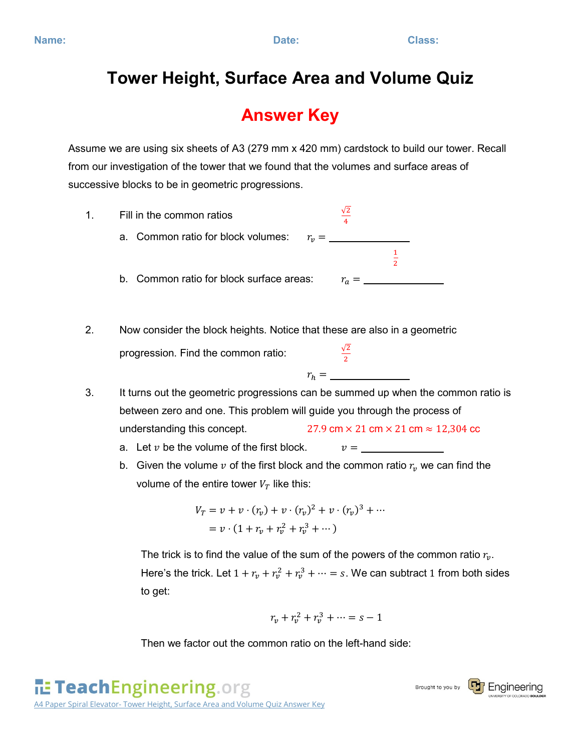## **Tower Height, Surface Area and Volume Quiz**

## **Answer Key**

Assume we are using six sheets of A3 (279 mm x 420 mm) cardstock to build our tower. Recall from our investigation of the tower that we found that the volumes and surface areas of successive blocks to be in geometric progressions.



Here's the trick. Let  $1 + r_v + r_v^2 + r_v^3 + \cdots = s$ . We can subtract 1 from both sides to get:

$$
r_v+r_v^2+r_v^3+\cdots=s-1
$$

Then we factor out the common ratio on the left-hand side: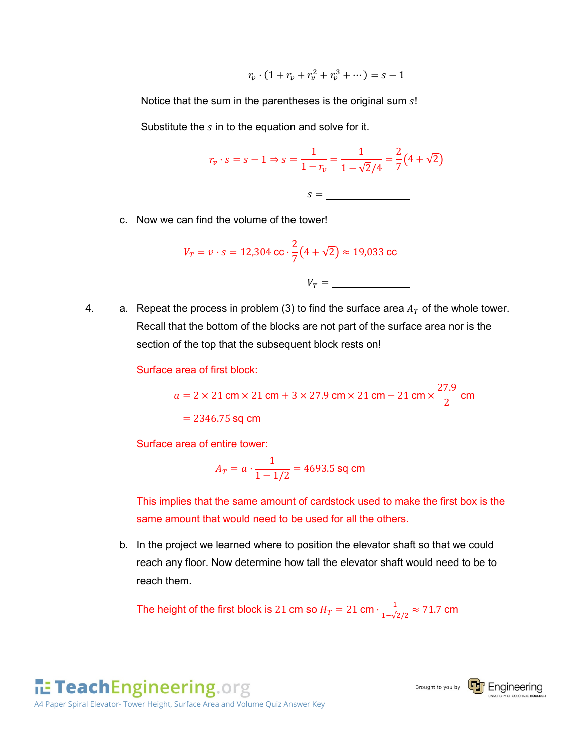$$
r_v \cdot (1 + r_v + r_v^2 + r_v^3 + \dotsb) = s - 1
$$

Notice that the sum in the parentheses is the original sum  $s!$ 

Substitute the  $s$  in to the equation and solve for it.

$$
r_v \cdot s = s - 1 \Rightarrow s = \frac{1}{1 - r_v} = \frac{1}{1 - \sqrt{2}/4} = \frac{2}{7}(4 + \sqrt{2})
$$

$$
s = \underline{\qquad}
$$

c. Now we can find the volume of the tower!

$$
V_T = v \cdot s = 12,304 \text{ cc} \cdot \frac{2}{7} (4 + \sqrt{2}) \approx 19,033 \text{ cc}
$$
  
 $V_T =$ 

4. a. Repeat the process in problem (3) to find the surface area  $A_T$  of the whole tower. Recall that the bottom of the blocks are not part of the surface area nor is the section of the top that the subsequent block rests on!

Surface area of first block:

 $a = 2 \times 21$  cm  $\times 21$  cm  $+ 3 \times 27.9$  cm  $\times 21$  cm  $- 21$  cm  $\times \frac{27.9}{2}$  cm  $= 2346.75$  sq cm

Surface area of entire tower:

$$
A_T = a \cdot \frac{1}{1 - 1/2} = 4693.5 \text{ sq cm}
$$

This implies that the same amount of cardstock used to make the first box is the same amount that would need to be used for all the others.

b. In the project we learned where to position the elevator shaft so that we could reach any floor. Now determine how tall the elevator shaft would need to be to reach them.

The height of the first block is 21 cm so  $H_T = 21$  cm  $\cdot \frac{1}{1-\sqrt{2}/2} \approx 71.7$  cm